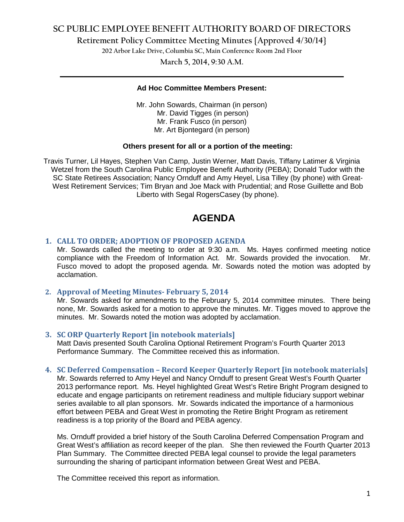### **SC PUBLIC EMPLOYEE BENEFIT AUTHORITY BOARD OF DIRECTORS**

**Retirement Policy Committee Meeting Minutes {Approved 4/30/14}**

**202 Arbor Lake Drive, Columbia SC, Main Conference Room 2nd Floor**

**March 5, 2014, 9:30 A.M. \_\_\_\_\_\_\_\_\_\_\_\_\_\_\_\_\_\_\_\_\_\_\_\_\_\_\_\_\_\_\_\_\_\_\_\_\_\_\_\_\_\_\_\_\_\_\_\_\_\_\_\_\_\_\_\_\_\_\_\_\_\_\_\_\_\_\_\_\_\_\_\_**

#### **Ad Hoc Committee Members Present:**

Mr. John Sowards, Chairman (in person) Mr. David Tigges (in person) Mr. Frank Fusco (in person) Mr. Art Bjontegard (in person)

#### **Others present for all or a portion of the meeting:**

Travis Turner, Lil Hayes, Stephen Van Camp, Justin Werner, Matt Davis, Tiffany Latimer & Virginia Wetzel from the South Carolina Public Employee Benefit Authority (PEBA); Donald Tudor with the SC State Retirees Association; Nancy Ornduff and Amy Heyel, Lisa Tilley (by phone) with Great-West Retirement Services; Tim Bryan and Joe Mack with Prudential; and Rose Guillette and Bob Liberto with Segal RogersCasey (by phone).

# **AGENDA**

#### **1. CALL TO ORDER; ADOPTION OF PROPOSED AGENDA**

Mr. Sowards called the meeting to order at 9:30 a.m. Ms. Hayes confirmed meeting notice compliance with the Freedom of Information Act. Mr. Sowards provided the invocation. Mr. Fusco moved to adopt the proposed agenda. Mr. Sowards noted the motion was adopted by acclamation.

#### **2. Approval of Meeting Minutes- February 5, 2014**

Mr. Sowards asked for amendments to the February 5, 2014 committee minutes. There being none, Mr. Sowards asked for a motion to approve the minutes. Mr. Tigges moved to approve the minutes. Mr. Sowards noted the motion was adopted by acclamation.

#### **3. SC ORP Quarterly Report [in notebook materials]**

Matt Davis presented South Carolina Optional Retirement Program's Fourth Quarter 2013 Performance Summary. The Committee received this as information.

#### **4. SC Deferred Compensation – Record Keeper Quarterly Report [in notebook materials]**

Mr. Sowards referred to Amy Heyel and Nancy Ornduff to present Great West's Fourth Quarter 2013 performance report. Ms. Heyel highlighted Great West's Retire Bright Program designed to educate and engage participants on retirement readiness and multiple fiduciary support webinar series available to all plan sponsors. Mr. Sowards indicated the importance of a harmonious effort between PEBA and Great West in promoting the Retire Bright Program as retirement readiness is a top priority of the Board and PEBA agency.

Ms. Ornduff provided a brief history of the South Carolina Deferred Compensation Program and Great West's affiliation as record keeper of the plan. She then reviewed the Fourth Quarter 2013 Plan Summary. The Committee directed PEBA legal counsel to provide the legal parameters surrounding the sharing of participant information between Great West and PEBA.

The Committee received this report as information.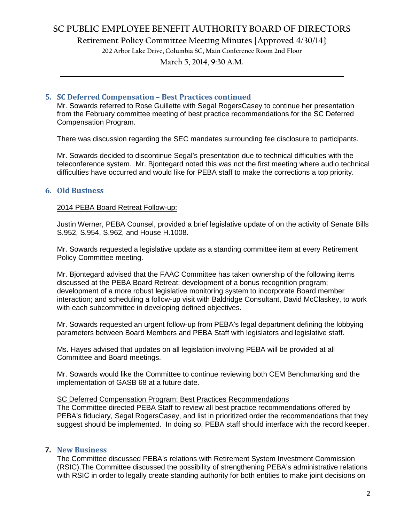### **SC PUBLIC EMPLOYEE BENEFIT AUTHORITY BOARD OF DIRECTORS**

**Retirement Policy Committee Meeting Minutes {Approved 4/30/14}**

**202 Arbor Lake Drive, Columbia SC, Main Conference Room 2nd Floor**

# **March 5, 2014, 9:30 A.M. \_\_\_\_\_\_\_\_\_\_\_\_\_\_\_\_\_\_\_\_\_\_\_\_\_\_\_\_\_\_\_\_\_\_\_\_\_\_\_\_\_\_\_\_\_\_\_\_\_\_\_\_\_\_\_\_\_\_\_\_\_\_\_\_\_\_\_\_\_\_\_\_**

#### **5. SC Deferred Compensation – Best Practices continued**

Mr. Sowards referred to Rose Guillette with Segal RogersCasey to continue her presentation from the February committee meeting of best practice recommendations for the SC Deferred Compensation Program.

There was discussion regarding the SEC mandates surrounding fee disclosure to participants.

Mr. Sowards decided to discontinue Segal's presentation due to technical difficulties with the teleconference system. Mr. Bjontegard noted this was not the first meeting where audio technical difficulties have occurred and would like for PEBA staff to make the corrections a top priority.

#### **6. Old Business**

#### 2014 PEBA Board Retreat Follow-up:

Justin Werner, PEBA Counsel, provided a brief legislative update of on the activity of Senate Bills S.952, S.954, S.962, and House H.1008.

Mr. Sowards requested a legislative update as a standing committee item at every Retirement Policy Committee meeting.

Mr. Bjontegard advised that the FAAC Committee has taken ownership of the following items discussed at the PEBA Board Retreat: development of a bonus recognition program; development of a more robust legislative monitoring system to incorporate Board member interaction; and scheduling a follow-up visit with Baldridge Consultant, David McClaskey, to work with each subcommittee in developing defined objectives.

Mr. Sowards requested an urgent follow-up from PEBA's legal department defining the lobbying parameters between Board Members and PEBA Staff with legislators and legislative staff.

Ms. Hayes advised that updates on all legislation involving PEBA will be provided at all Committee and Board meetings.

Mr. Sowards would like the Committee to continue reviewing both CEM Benchmarking and the implementation of GASB 68 at a future date.

#### SC Deferred Compensation Program: Best Practices Recommendations

The Committee directed PEBA Staff to review all best practice recommendations offered by PEBA's fiduciary, Segal RogersCasey, and list in prioritized order the recommendations that they suggest should be implemented. In doing so, PEBA staff should interface with the record keeper.

#### **7. New Business**

The Committee discussed PEBA's relations with Retirement System Investment Commission (RSIC).The Committee discussed the possibility of strengthening PEBA's administrative relations with RSIC in order to legally create standing authority for both entities to make joint decisions on